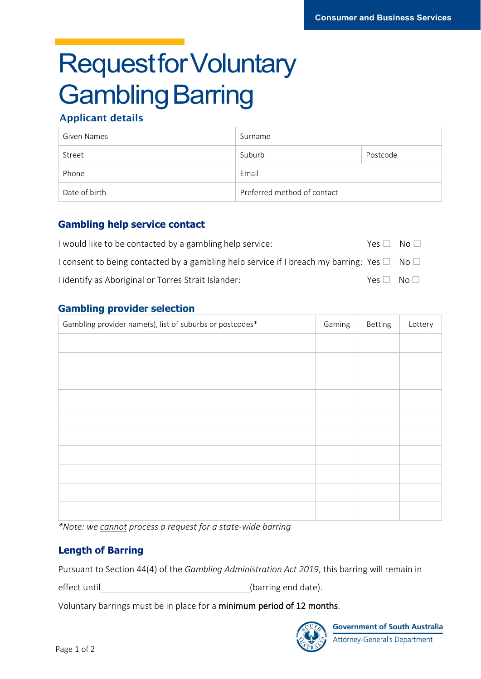# **Requestfor Voluntary Gambling Barring**

# Applicant details

| Given Names   | Surname                     |          |  |
|---------------|-----------------------------|----------|--|
| Street        | Suburb                      | Postcode |  |
| Phone         | Email                       |          |  |
| Date of birth | Preferred method of contact |          |  |

## **Gambling help service contact**

| I would like to be contacted by a gambling help service:                                                   | $Yes \Box No \Box$ |  |
|------------------------------------------------------------------------------------------------------------|--------------------|--|
| I consent to being contacted by a gambling help service if I breach my barring: Yes $\square$ No $\square$ |                    |  |
| I identify as Aboriginal or Torres Strait Islander:                                                        | $Yes \Box No \Box$ |  |

## **Gambling provider selection**

| Gambling provider name(s), list of suburbs or postcodes* |  | Betting | Lottery |
|----------------------------------------------------------|--|---------|---------|
|                                                          |  |         |         |
|                                                          |  |         |         |
|                                                          |  |         |         |
|                                                          |  |         |         |
|                                                          |  |         |         |
|                                                          |  |         |         |
|                                                          |  |         |         |
|                                                          |  |         |         |
|                                                          |  |         |         |
|                                                          |  |         |         |
|                                                          |  |         |         |

*\*Note: we cannot process a request for a state-wide barring*

# **Length of Barring**

Pursuant to Section 44(4) of the *Gambling Administration Act 2019*, this barring will remain in

effect until and the contract of the contract of the contract (barring end date).

Voluntary barrings must be in place for a minimum period of 12 months.



**Government of South Australia Attorney-General's Department**